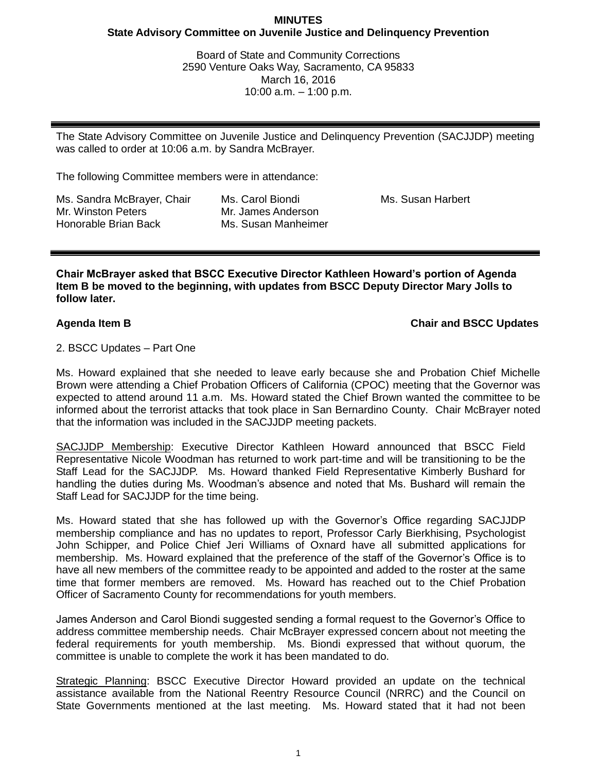# **MINUTES State Advisory Committee on Juvenile Justice and Delinquency Prevention**

Board of State and Community Corrections 2590 Venture Oaks Way, Sacramento, CA 95833 March 16, 2016 10:00 a.m. – 1:00 p.m.

The State Advisory Committee on Juvenile Justice and Delinquency Prevention (SACJJDP) meeting was called to order at 10:06 a.m. by Sandra McBrayer.

The following Committee members were in attendance:

Ms. Sandra McBrayer, Chair Mr. Winston Peters Honorable Brian Back

Ms. Carol Biondi Mr. James Anderson Ms. Susan Manheimer Ms. Susan Harbert

**Chair McBrayer asked that BSCC Executive Director Kathleen Howard's portion of Agenda Item B be moved to the beginning, with updates from BSCC Deputy Director Mary Jolls to follow later.** 

**Agenda Item B Chair and BSCC Updates**

## 2. BSCC Updates – Part One

Ms. Howard explained that she needed to leave early because she and Probation Chief Michelle Brown were attending a Chief Probation Officers of California (CPOC) meeting that the Governor was expected to attend around 11 a.m. Ms. Howard stated the Chief Brown wanted the committee to be informed about the terrorist attacks that took place in San Bernardino County. Chair McBrayer noted that the information was included in the SACJJDP meeting packets.

SACJJDP Membership: Executive Director Kathleen Howard announced that BSCC Field Representative Nicole Woodman has returned to work part-time and will be transitioning to be the Staff Lead for the SACJJDP. Ms. Howard thanked Field Representative Kimberly Bushard for handling the duties during Ms. Woodman's absence and noted that Ms. Bushard will remain the Staff Lead for SACJJDP for the time being.

Ms. Howard stated that she has followed up with the Governor's Office regarding SACJJDP membership compliance and has no updates to report, Professor Carly Bierkhising, Psychologist John Schipper, and Police Chief Jeri Williams of Oxnard have all submitted applications for membership. Ms. Howard explained that the preference of the staff of the Governor's Office is to have all new members of the committee ready to be appointed and added to the roster at the same time that former members are removed. Ms. Howard has reached out to the Chief Probation Officer of Sacramento County for recommendations for youth members.

James Anderson and Carol Biondi suggested sending a formal request to the Governor's Office to address committee membership needs. Chair McBrayer expressed concern about not meeting the federal requirements for youth membership. Ms. Biondi expressed that without quorum, the committee is unable to complete the work it has been mandated to do.

Strategic Planning: BSCC Executive Director Howard provided an update on the technical assistance available from the National Reentry Resource Council (NRRC) and the Council on State Governments mentioned at the last meeting. Ms. Howard stated that it had not been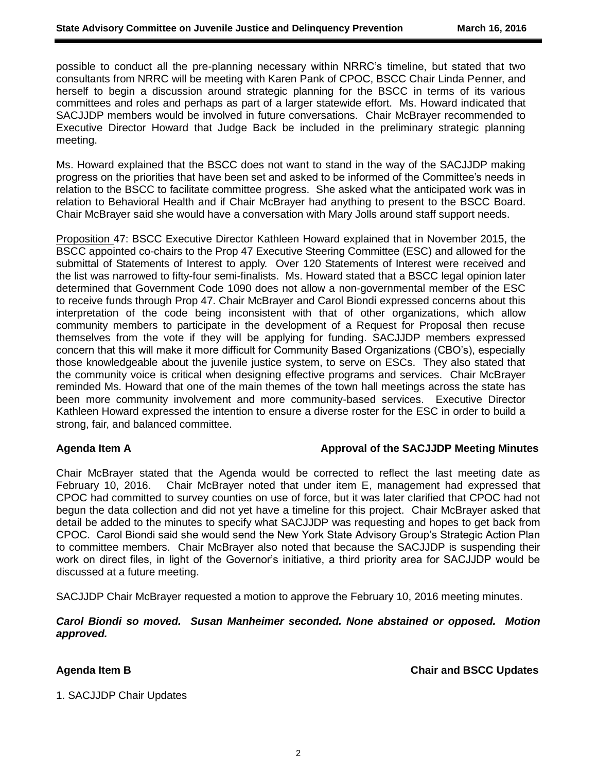possible to conduct all the pre-planning necessary within NRRC's timeline, but stated that two consultants from NRRC will be meeting with Karen Pank of CPOC, BSCC Chair Linda Penner, and herself to begin a discussion around strategic planning for the BSCC in terms of its various committees and roles and perhaps as part of a larger statewide effort. Ms. Howard indicated that SACJJDP members would be involved in future conversations. Chair McBrayer recommended to Executive Director Howard that Judge Back be included in the preliminary strategic planning meeting.

Ms. Howard explained that the BSCC does not want to stand in the way of the SACJJDP making progress on the priorities that have been set and asked to be informed of the Committee's needs in relation to the BSCC to facilitate committee progress. She asked what the anticipated work was in relation to Behavioral Health and if Chair McBrayer had anything to present to the BSCC Board. Chair McBrayer said she would have a conversation with Mary Jolls around staff support needs.

Proposition 47: BSCC Executive Director Kathleen Howard explained that in November 2015, the BSCC appointed co-chairs to the Prop 47 Executive Steering Committee (ESC) and allowed for the submittal of Statements of Interest to apply. Over 120 Statements of Interest were received and the list was narrowed to fifty-four semi-finalists. Ms. Howard stated that a BSCC legal opinion later determined that Government Code 1090 does not allow a non-governmental member of the ESC to receive funds through Prop 47. Chair McBrayer and Carol Biondi expressed concerns about this interpretation of the code being inconsistent with that of other organizations, which allow community members to participate in the development of a Request for Proposal then recuse themselves from the vote if they will be applying for funding. SACJJDP members expressed concern that this will make it more difficult for Community Based Organizations (CBO's), especially those knowledgeable about the juvenile justice system, to serve on ESCs. They also stated that the community voice is critical when designing effective programs and services. Chair McBrayer reminded Ms. Howard that one of the main themes of the town hall meetings across the state has been more community involvement and more community-based services. Executive Director Kathleen Howard expressed the intention to ensure a diverse roster for the ESC in order to build a strong, fair, and balanced committee.

## **Agenda Item A Approval of the SACJJDP Meeting Minutes**

Chair McBrayer stated that the Agenda would be corrected to reflect the last meeting date as February 10, 2016. Chair McBrayer noted that under item E, management had expressed that CPOC had committed to survey counties on use of force, but it was later clarified that CPOC had not begun the data collection and did not yet have a timeline for this project. Chair McBrayer asked that detail be added to the minutes to specify what SACJJDP was requesting and hopes to get back from CPOC. Carol Biondi said she would send the New York State Advisory Group's Strategic Action Plan to committee members. Chair McBrayer also noted that because the SACJJDP is suspending their work on direct files, in light of the Governor's initiative, a third priority area for SACJJDP would be discussed at a future meeting.

SACJJDP Chair McBrayer requested a motion to approve the February 10, 2016 meeting minutes.

*Carol Biondi so moved. Susan Manheimer seconded. None abstained or opposed. Motion approved.*

**Agenda Item B Chair and BSCC Updates**

1. SACJJDP Chair Updates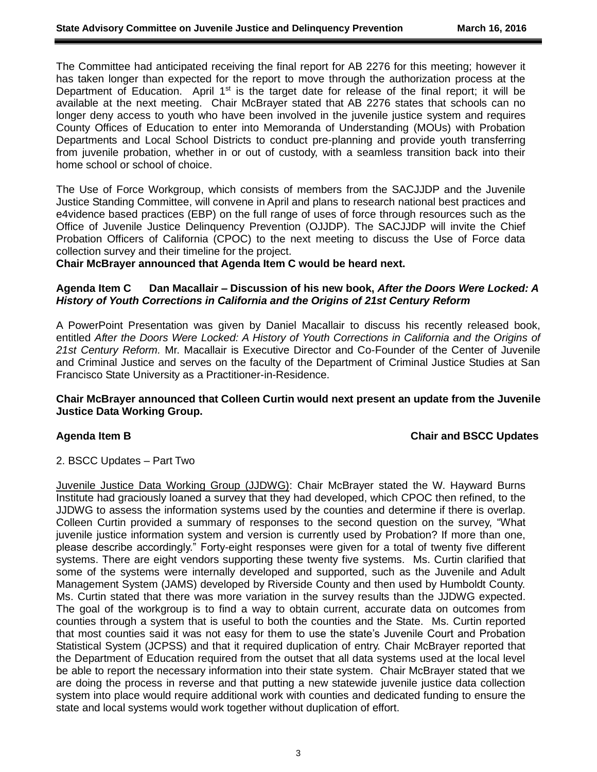The Committee had anticipated receiving the final report for AB 2276 for this meeting; however it has taken longer than expected for the report to move through the authorization process at the Department of Education. April  $1<sup>st</sup>$  is the target date for release of the final report; it will be available at the next meeting. Chair McBrayer stated that AB 2276 states that schools can no longer deny access to youth who have been involved in the juvenile justice system and requires County Offices of Education to enter into Memoranda of Understanding (MOUs) with Probation Departments and Local School Districts to conduct pre-planning and provide youth transferring from juvenile probation, whether in or out of custody, with a seamless transition back into their home school or school of choice.

The Use of Force Workgroup, which consists of members from the SACJJDP and the Juvenile Justice Standing Committee, will convene in April and plans to research national best practices and e4vidence based practices (EBP) on the full range of uses of force through resources such as the Office of Juvenile Justice Delinquency Prevention (OJJDP). The SACJJDP will invite the Chief Probation Officers of California (CPOC) to the next meeting to discuss the Use of Force data collection survey and their timeline for the project.

**Chair McBrayer announced that Agenda Item C would be heard next.**

## **Agenda Item C Dan Macallair – Discussion of his new book,** *After the Doors Were Locked: A History of Youth Corrections in California and the Origins of 21st Century Reform*

A PowerPoint Presentation was given by Daniel Macallair to discuss his recently released book, entitled *After the Doors Were Locked: A History of Youth Corrections in California and the Origins of 21st Century Reform.* Mr. Macallair is Executive Director and Co-Founder of the Center of Juvenile and Criminal Justice and serves on the faculty of the Department of Criminal Justice Studies at San Francisco State University as a Practitioner-in-Residence.

## **Chair McBrayer announced that Colleen Curtin would next present an update from the Juvenile Justice Data Working Group.**

## **Agenda Item B Chair and BSCC Updates**

## 2. BSCC Updates – Part Two

Juvenile Justice Data Working Group (JJDWG): Chair McBrayer stated the W. Hayward Burns Institute had graciously loaned a survey that they had developed, which CPOC then refined, to the JJDWG to assess the information systems used by the counties and determine if there is overlap. Colleen Curtin provided a summary of responses to the second question on the survey, "What juvenile justice information system and version is currently used by Probation? If more than one, please describe accordingly." Forty-eight responses were given for a total of twenty five different systems. There are eight vendors supporting these twenty five systems. Ms. Curtin clarified that some of the systems were internally developed and supported, such as the Juvenile and Adult Management System (JAMS) developed by Riverside County and then used by Humboldt County. Ms. Curtin stated that there was more variation in the survey results than the JJDWG expected. The goal of the workgroup is to find a way to obtain current, accurate data on outcomes from counties through a system that is useful to both the counties and the State. Ms. Curtin reported that most counties said it was not easy for them to use the state's Juvenile Court and Probation Statistical System (JCPSS) and that it required duplication of entry. Chair McBrayer reported that the Department of Education required from the outset that all data systems used at the local level be able to report the necessary information into their state system. Chair McBrayer stated that we are doing the process in reverse and that putting a new statewide juvenile justice data collection system into place would require additional work with counties and dedicated funding to ensure the state and local systems would work together without duplication of effort.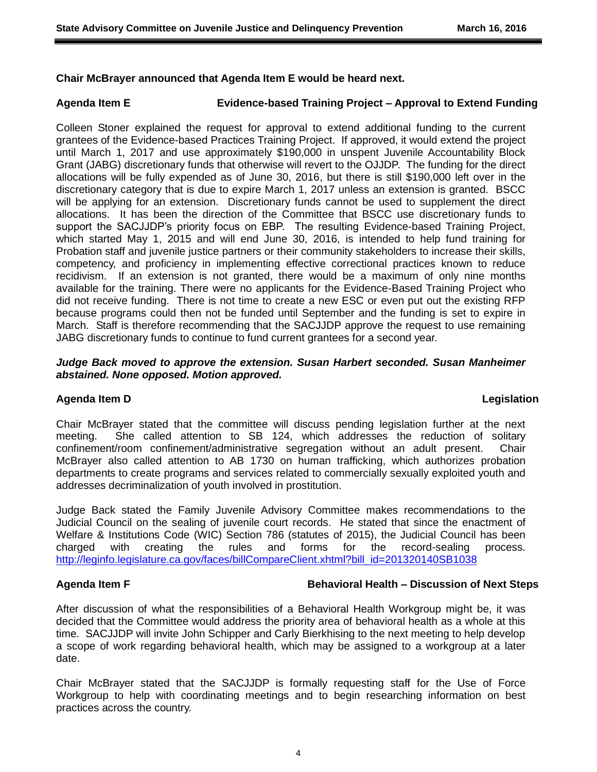## **Chair McBrayer announced that Agenda Item E would be heard next.**

# **Agenda Item E Evidence-based Training Project – Approval to Extend Funding**

Colleen Stoner explained the request for approval to extend additional funding to the current grantees of the Evidence-based Practices Training Project. If approved, it would extend the project until March 1, 2017 and use approximately \$190,000 in unspent Juvenile Accountability Block Grant (JABG) discretionary funds that otherwise will revert to the OJJDP. The funding for the direct allocations will be fully expended as of June 30, 2016, but there is still \$190,000 left over in the discretionary category that is due to expire March 1, 2017 unless an extension is granted. BSCC will be applying for an extension. Discretionary funds cannot be used to supplement the direct allocations. It has been the direction of the Committee that BSCC use discretionary funds to support the SACJJDP's priority focus on EBP. The resulting Evidence-based Training Project, which started May 1, 2015 and will end June 30, 2016, is intended to help fund training for Probation staff and juvenile justice partners or their community stakeholders to increase their skills, competency, and proficiency in implementing effective correctional practices known to reduce recidivism. If an extension is not granted, there would be a maximum of only nine months available for the training. There were no applicants for the Evidence-Based Training Project who did not receive funding. There is not time to create a new ESC or even put out the existing RFP because programs could then not be funded until September and the funding is set to expire in March. Staff is therefore recommending that the SACJJDP approve the request to use remaining JABG discretionary funds to continue to fund current grantees for a second year.

# *Judge Back moved to approve the extension. Susan Harbert seconded. Susan Manheimer abstained. None opposed. Motion approved.*

## **Agenda Item D Legislation**

Chair McBrayer stated that the committee will discuss pending legislation further at the next meeting. She called attention to SB 124, which addresses the reduction of solitary confinement/room confinement/administrative segregation without an adult present. Chair McBrayer also called attention to AB 1730 on human trafficking, which authorizes probation departments to create programs and services related to commercially sexually exploited youth and addresses decriminalization of youth involved in prostitution.

Judge Back stated the Family Juvenile Advisory Committee makes recommendations to the Judicial Council on the sealing of juvenile court records. He stated that since the enactment of Welfare & Institutions Code (WIC) Section 786 (statutes of 2015), the Judicial Council has been charged with creating the rules and forms for the record-sealing process. [http://leginfo.legislature.ca.gov/faces/billCompareClient.xhtml?bill\\_id=201320140SB1038](http://leginfo.legislature.ca.gov/faces/billCompareClient.xhtml?bill_id=201320140SB1038)

## **Agenda Item F Behavioral Health – Discussion of Next Steps**

After discussion of what the responsibilities of a Behavioral Health Workgroup might be, it was decided that the Committee would address the priority area of behavioral health as a whole at this time. SACJJDP will invite John Schipper and Carly Bierkhising to the next meeting to help develop a scope of work regarding behavioral health, which may be assigned to a workgroup at a later date.

Chair McBrayer stated that the SACJJDP is formally requesting staff for the Use of Force Workgroup to help with coordinating meetings and to begin researching information on best practices across the country.